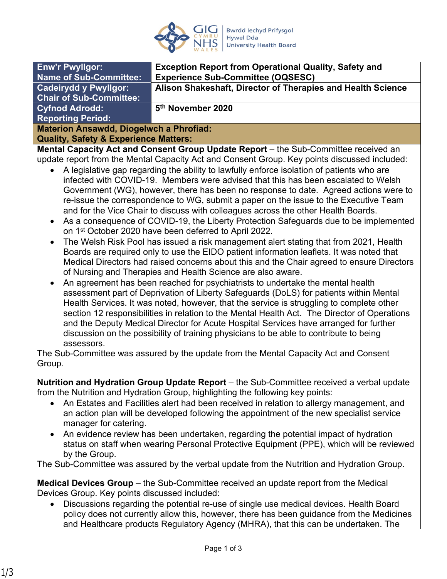

| <b>Enw'r Pwyllgor:</b>                         | <b>Exception Report from Operational Quality, Safety and</b> |
|------------------------------------------------|--------------------------------------------------------------|
| <b>Name of Sub-Committee:</b>                  | <b>Experience Sub-Committee (OQSESC)</b>                     |
| <b>Cadeirydd y Pwyllgor:</b>                   | Alison Shakeshaft, Director of Therapies and Health Science  |
| <b>Chair of Sub-Committee:</b>                 |                                                              |
| <b>Cyfnod Adrodd:</b>                          | 5 <sup>th</sup> November 2020                                |
| <b>Reporting Period:</b>                       |                                                              |
| <b>Materion Ansawdd, Diogelwch a Phrofiad:</b> |                                                              |
|                                                |                                                              |

**Quality, Safety & Experience Matters:**

**Mental Capacity Act and Consent Group Update Report** – the Sub-Committee received an update report from the Mental Capacity Act and Consent Group. Key points discussed included:

- A legislative gap regarding the ability to lawfully enforce isolation of patients who are infected with COVID-19. Members were advised that this has been escalated to Welsh Government (WG), however, there has been no response to date. Agreed actions were to re-issue the correspondence to WG, submit a paper on the issue to the Executive Team and for the Vice Chair to discuss with colleagues across the other Health Boards.
- As a consequence of COVID-19, the Liberty Protection Safeguards due to be implemented on 1st October 2020 have been deferred to April 2022.
- The Welsh Risk Pool has issued a risk management alert stating that from 2021, Health Boards are required only to use the EIDO patient information leaflets. It was noted that Medical Directors had raised concerns about this and the Chair agreed to ensure Directors of Nursing and Therapies and Health Science are also aware.
- An agreement has been reached for psychiatrists to undertake the mental health assessment part of Deprivation of Liberty Safeguards (DoLS) for patients within Mental Health Services. It was noted, however, that the service is struggling to complete other section 12 responsibilities in relation to the Mental Health Act. The Director of Operations and the Deputy Medical Director for Acute Hospital Services have arranged for further discussion on the possibility of training physicians to be able to contribute to being assessors.

The Sub-Committee was assured by the update from the Mental Capacity Act and Consent Group.

**Nutrition and Hydration Group Update Report** – the Sub-Committee received a verbal update from the Nutrition and Hydration Group, highlighting the following key points:

- An Estates and Facilities alert had been received in relation to allergy management, and an action plan will be developed following the appointment of the new specialist service manager for catering.
- An evidence review has been undertaken, regarding the potential impact of hydration status on staff when wearing Personal Protective Equipment (PPE), which will be reviewed by the Group.

The Sub-Committee was assured by the verbal update from the Nutrition and Hydration Group.

**Medical Devices Group** – the Sub-Committee received an update report from the Medical Devices Group. Key points discussed included:

 Discussions regarding the potential re-use of single use medical devices. Health Board policy does not currently allow this, however, there has been guidance from the Medicines and Healthcare products Regulatory Agency (MHRA), that this can be undertaken. The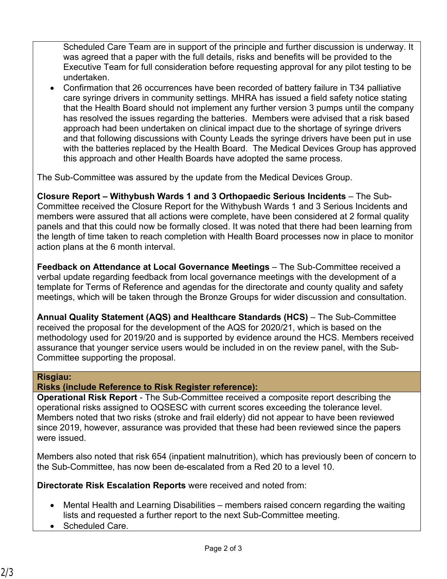Scheduled Care Team are in support of the principle and further discussion is underway. It was agreed that a paper with the full details, risks and benefits will be provided to the Executive Team for full consideration before requesting approval for any pilot testing to be undertaken.

 Confirmation that 26 occurrences have been recorded of battery failure in T34 palliative care syringe drivers in community settings. MHRA has issued a field safety notice stating that the Health Board should not implement any further version 3 pumps until the company has resolved the issues regarding the batteries. Members were advised that a risk based approach had been undertaken on clinical impact due to the shortage of syringe drivers and that following discussions with County Leads the syringe drivers have been put in use with the batteries replaced by the Health Board. The Medical Devices Group has approved this approach and other Health Boards have adopted the same process.

The Sub-Committee was assured by the update from the Medical Devices Group.

**Closure Report – Withybush Wards 1 and 3 Orthopaedic Serious Incidents** – The Sub-Committee received the Closure Report for the Withybush Wards 1 and 3 Serious Incidents and members were assured that all actions were complete, have been considered at 2 formal quality panels and that this could now be formally closed. It was noted that there had been learning from the length of time taken to reach completion with Health Board processes now in place to monitor action plans at the 6 month interval.

**Feedback on Attendance at Local Governance Meetings** – The Sub-Committee received a verbal update regarding feedback from local governance meetings with the development of a template for Terms of Reference and agendas for the directorate and county quality and safety meetings, which will be taken through the Bronze Groups for wider discussion and consultation.

**Annual Quality Statement (AQS) and Healthcare Standards (HCS)** – The Sub-Committee received the proposal for the development of the AQS for 2020/21, which is based on the methodology used for 2019/20 and is supported by evidence around the HCS. Members received assurance that younger service users would be included in on the review panel, with the Sub-Committee supporting the proposal.

## **Risgiau:**

## **Risks (include Reference to Risk Register reference):**

**Operational Risk Report** - The Sub-Committee received a composite report describing the operational risks assigned to OQSESC with current scores exceeding the tolerance level. Members noted that two risks (stroke and frail elderly) did not appear to have been reviewed since 2019, however, assurance was provided that these had been reviewed since the papers were issued.

Members also noted that risk 654 (inpatient malnutrition), which has previously been of concern to the Sub-Committee, has now been de-escalated from a Red 20 to a level 10.

**Directorate Risk Escalation Reports** were received and noted from:

- Mental Health and Learning Disabilities members raised concern regarding the waiting lists and requested a further report to the next Sub-Committee meeting.
- Scheduled Care.